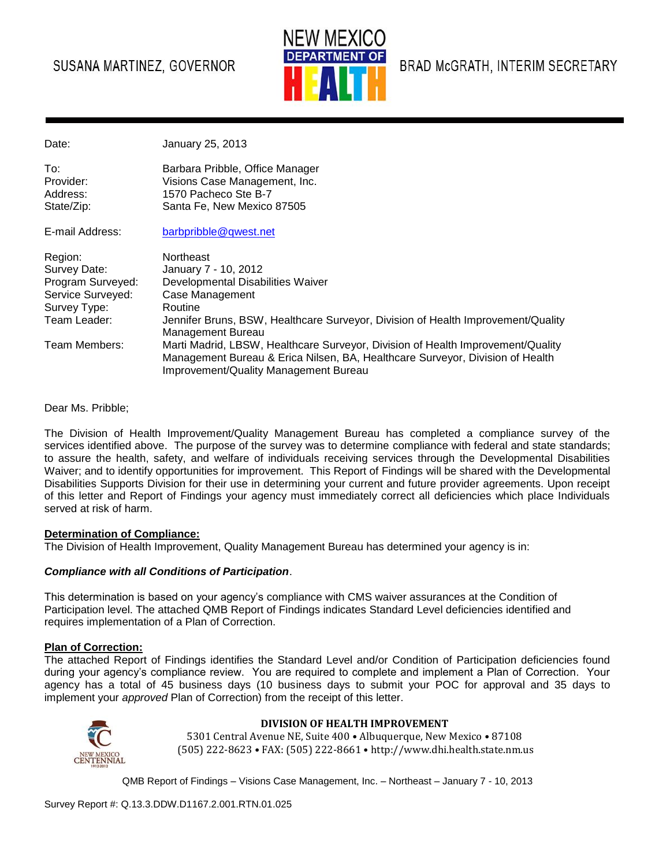# SUSANA MARTINEZ, GOVERNOR



BRAD McGRATH, INTERIM SECRETARY

Date: January 25, 2013

| Barbara Pribble, Office Manager<br>Visions Case Management, Inc.<br>1570 Pacheco Ste B-7 |
|------------------------------------------------------------------------------------------|
| Santa Fe, New Mexico 87505                                                               |
|                                                                                          |

E-mail Address: [barbpribble@qwest.net](mailto:barbpribble@qwest.net)

| Region:           | <b>Northeast</b>                                                                                      |
|-------------------|-------------------------------------------------------------------------------------------------------|
| Survey Date:      | January 7 - 10, 2012                                                                                  |
| Program Surveyed: | Developmental Disabilities Waiver                                                                     |
| Service Surveyed: | Case Management                                                                                       |
| Survey Type:      | Routine                                                                                               |
| Team Leader:      | Jennifer Bruns, BSW, Healthcare Surveyor, Division of Health Improvement/Quality<br>Management Bureau |
| Team Members:     | Marti Madrid, LBSW, Healthcare Surveyor, Division of Health Improvement/Quality                       |
|                   | Management Bureau & Erica Nilsen, BA, Healthcare Surveyor, Division of Health                         |
|                   | Improvement/Quality Management Bureau                                                                 |

Dear Ms. Pribble;

The Division of Health Improvement/Quality Management Bureau has completed a compliance survey of the services identified above. The purpose of the survey was to determine compliance with federal and state standards; to assure the health, safety, and welfare of individuals receiving services through the Developmental Disabilities Waiver; and to identify opportunities for improvement. This Report of Findings will be shared with the Developmental Disabilities Supports Division for their use in determining your current and future provider agreements. Upon receipt of this letter and Report of Findings your agency must immediately correct all deficiencies which place Individuals served at risk of harm.

#### **Determination of Compliance:**

The Division of Health Improvement, Quality Management Bureau has determined your agency is in:

#### *Compliance with all Conditions of Participation*.

This determination is based on your agency's compliance with CMS waiver assurances at the Condition of Participation level. The attached QMB Report of Findings indicates Standard Level deficiencies identified and requires implementation of a Plan of Correction.

#### **Plan of Correction:**

The attached Report of Findings identifies the Standard Level and/or Condition of Participation deficiencies found during your agency's compliance review. You are required to complete and implement a Plan of Correction. Your agency has a total of 45 business days (10 business days to submit your POC for approval and 35 days to implement your *approved* Plan of Correction) from the receipt of this letter.



#### **DIVISION OF HEALTH IMPROVEMENT**

5301 Central Avenue NE, Suite 400 • Albuquerque, New Mexico • 87108 (505) 222-8623 • FAX: (505) 222-8661 • http://www.dhi.health.state.nm.us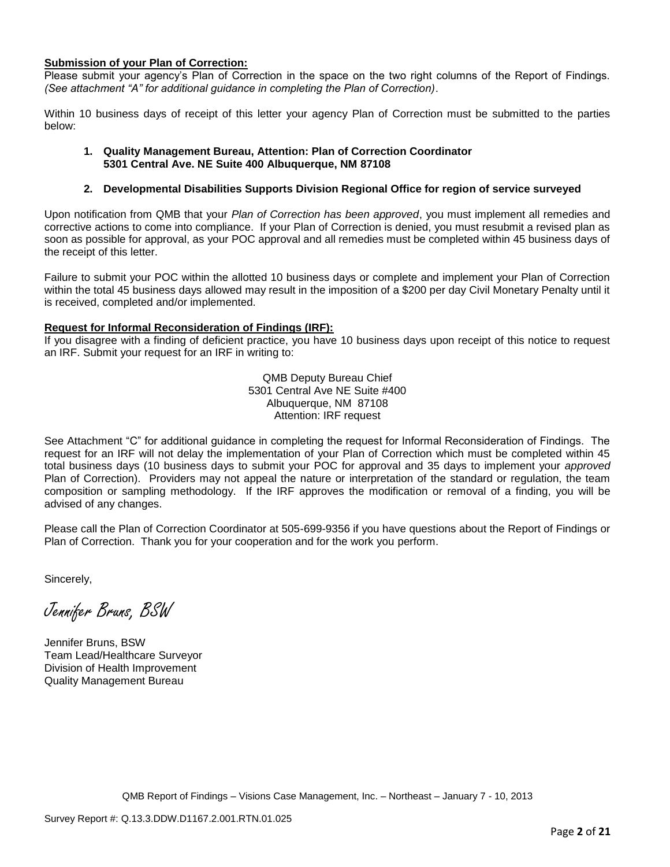#### **Submission of your Plan of Correction:**

Please submit your agency's Plan of Correction in the space on the two right columns of the Report of Findings. *(See attachment "A" for additional guidance in completing the Plan of Correction)*.

Within 10 business days of receipt of this letter your agency Plan of Correction must be submitted to the parties below:

#### **1. Quality Management Bureau, Attention: Plan of Correction Coordinator 5301 Central Ave. NE Suite 400 Albuquerque, NM 87108**

#### **2. Developmental Disabilities Supports Division Regional Office for region of service surveyed**

Upon notification from QMB that your *Plan of Correction has been approved*, you must implement all remedies and corrective actions to come into compliance. If your Plan of Correction is denied, you must resubmit a revised plan as soon as possible for approval, as your POC approval and all remedies must be completed within 45 business days of the receipt of this letter.

Failure to submit your POC within the allotted 10 business days or complete and implement your Plan of Correction within the total 45 business days allowed may result in the imposition of a \$200 per day Civil Monetary Penalty until it is received, completed and/or implemented.

#### **Request for Informal Reconsideration of Findings (IRF):**

If you disagree with a finding of deficient practice, you have 10 business days upon receipt of this notice to request an IRF. Submit your request for an IRF in writing to:

> QMB Deputy Bureau Chief 5301 Central Ave NE Suite #400 Albuquerque, NM 87108 Attention: IRF request

See Attachment "C" for additional guidance in completing the request for Informal Reconsideration of Findings. The request for an IRF will not delay the implementation of your Plan of Correction which must be completed within 45 total business days (10 business days to submit your POC for approval and 35 days to implement your *approved* Plan of Correction). Providers may not appeal the nature or interpretation of the standard or regulation, the team composition or sampling methodology. If the IRF approves the modification or removal of a finding, you will be advised of any changes.

Please call the Plan of Correction Coordinator at 505-699-9356 if you have questions about the Report of Findings or Plan of Correction. Thank you for your cooperation and for the work you perform.

Sincerely,

Jennifer Bruns, BSW

Jennifer Bruns, BSW Team Lead/Healthcare Surveyor Division of Health Improvement Quality Management Bureau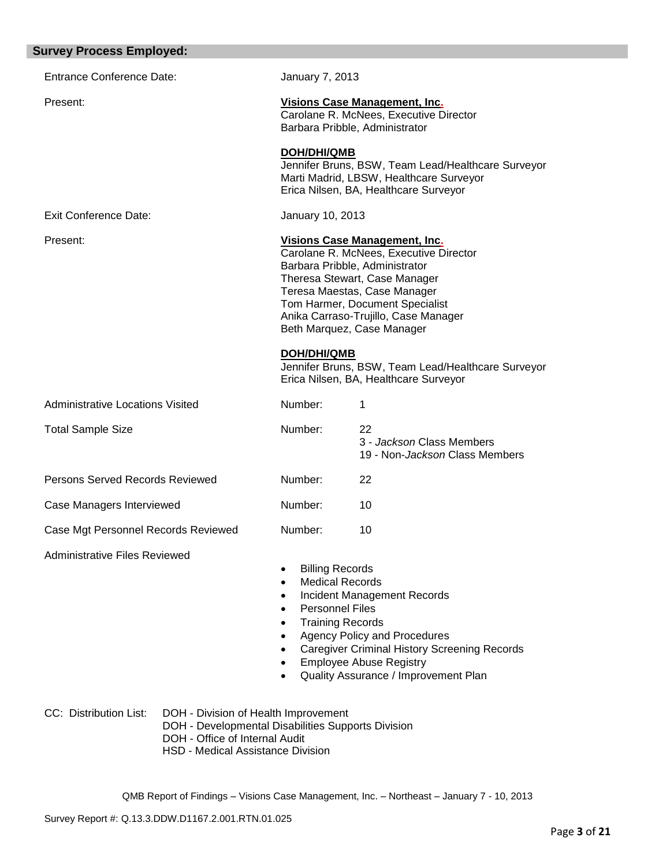| <b>Survey Process Employed:</b>                                                                                                                                                                    |                                                                                                                                              |                                                                                                                                                                                                                                                                                            |
|----------------------------------------------------------------------------------------------------------------------------------------------------------------------------------------------------|----------------------------------------------------------------------------------------------------------------------------------------------|--------------------------------------------------------------------------------------------------------------------------------------------------------------------------------------------------------------------------------------------------------------------------------------------|
| <b>Entrance Conference Date:</b>                                                                                                                                                                   | January 7, 2013                                                                                                                              |                                                                                                                                                                                                                                                                                            |
| Present:                                                                                                                                                                                           |                                                                                                                                              | Visions Case Management, Inc.<br>Carolane R. McNees, Executive Director<br>Barbara Pribble, Administrator                                                                                                                                                                                  |
|                                                                                                                                                                                                    | <b>DOH/DHI/QMB</b>                                                                                                                           | Jennifer Bruns, BSW, Team Lead/Healthcare Surveyor<br>Marti Madrid, LBSW, Healthcare Surveyor<br>Erica Nilsen, BA, Healthcare Surveyor                                                                                                                                                     |
| <b>Exit Conference Date:</b>                                                                                                                                                                       | January 10, 2013                                                                                                                             |                                                                                                                                                                                                                                                                                            |
| Present:                                                                                                                                                                                           |                                                                                                                                              | <b>Visions Case Management, Inc.</b><br>Carolane R. McNees, Executive Director<br>Barbara Pribble, Administrator<br>Theresa Stewart, Case Manager<br>Teresa Maestas, Case Manager<br>Tom Harmer, Document Specialist<br>Anika Carraso-Trujillo, Case Manager<br>Beth Marquez, Case Manager |
|                                                                                                                                                                                                    | DOH/DHI/QMB                                                                                                                                  | Jennifer Bruns, BSW, Team Lead/Healthcare Surveyor<br>Erica Nilsen, BA, Healthcare Surveyor                                                                                                                                                                                                |
| <b>Administrative Locations Visited</b>                                                                                                                                                            | Number:                                                                                                                                      | 1                                                                                                                                                                                                                                                                                          |
| <b>Total Sample Size</b>                                                                                                                                                                           | Number:                                                                                                                                      | 22<br>3 - Jackson Class Members<br>19 - Non-Jackson Class Members                                                                                                                                                                                                                          |
| Persons Served Records Reviewed                                                                                                                                                                    | Number:                                                                                                                                      | 22                                                                                                                                                                                                                                                                                         |
| Case Managers Interviewed                                                                                                                                                                          | Number:                                                                                                                                      | 10                                                                                                                                                                                                                                                                                         |
| Case Mgt Personnel Records Reviewed                                                                                                                                                                | Number:                                                                                                                                      | 10                                                                                                                                                                                                                                                                                         |
| <b>Administrative Files Reviewed</b>                                                                                                                                                               | <b>Billing Records</b><br><b>Medical Records</b><br>$\bullet$<br><b>Personnel Files</b><br><b>Training Records</b><br>$\bullet$<br>$\bullet$ | <b>Incident Management Records</b><br><b>Agency Policy and Procedures</b><br><b>Caregiver Criminal History Screening Records</b><br><b>Employee Abuse Registry</b><br>Quality Assurance / Improvement Plan                                                                                 |
| CC: Distribution List:<br>DOH - Division of Health Improvement<br>DOH - Developmental Disabilities Supports Division<br>DOH - Office of Internal Audit<br><b>HSD - Medical Assistance Division</b> |                                                                                                                                              |                                                                                                                                                                                                                                                                                            |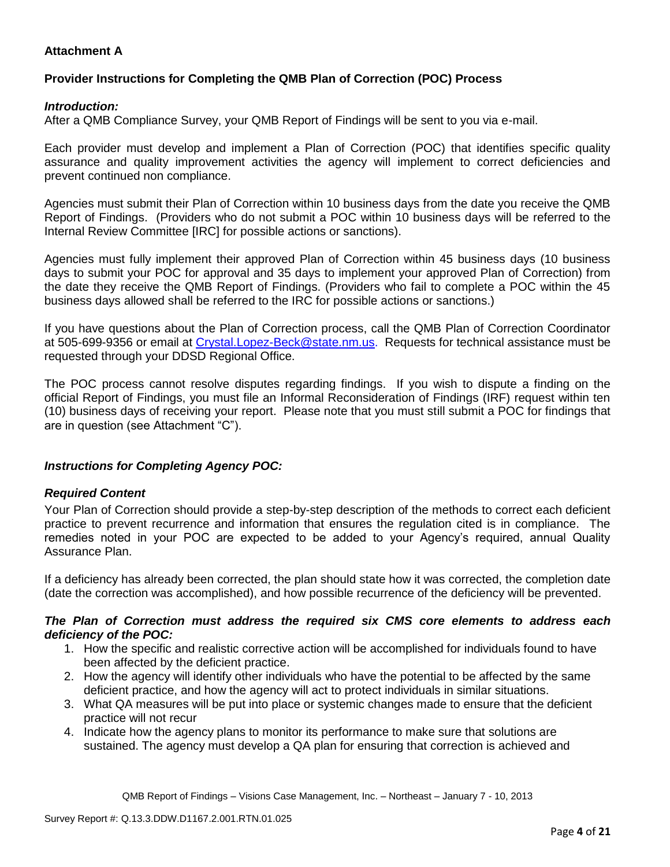# **Attachment A**

# **Provider Instructions for Completing the QMB Plan of Correction (POC) Process**

### *Introduction:*

After a QMB Compliance Survey, your QMB Report of Findings will be sent to you via e-mail.

Each provider must develop and implement a Plan of Correction (POC) that identifies specific quality assurance and quality improvement activities the agency will implement to correct deficiencies and prevent continued non compliance.

Agencies must submit their Plan of Correction within 10 business days from the date you receive the QMB Report of Findings. (Providers who do not submit a POC within 10 business days will be referred to the Internal Review Committee [IRC] for possible actions or sanctions).

Agencies must fully implement their approved Plan of Correction within 45 business days (10 business days to submit your POC for approval and 35 days to implement your approved Plan of Correction) from the date they receive the QMB Report of Findings. (Providers who fail to complete a POC within the 45 business days allowed shall be referred to the IRC for possible actions or sanctions.)

If you have questions about the Plan of Correction process, call the QMB Plan of Correction Coordinator at 505-699-9356 or email at Crystal.Lopez-Beck@state.nm.us. Requests for technical assistance must be requested through your DDSD Regional Office.

The POC process cannot resolve disputes regarding findings. If you wish to dispute a finding on the official Report of Findings, you must file an Informal Reconsideration of Findings (IRF) request within ten (10) business days of receiving your report. Please note that you must still submit a POC for findings that are in question (see Attachment "C").

# *Instructions for Completing Agency POC:*

# *Required Content*

Your Plan of Correction should provide a step-by-step description of the methods to correct each deficient practice to prevent recurrence and information that ensures the regulation cited is in compliance. The remedies noted in your POC are expected to be added to your Agency's required, annual Quality Assurance Plan.

If a deficiency has already been corrected, the plan should state how it was corrected, the completion date (date the correction was accomplished), and how possible recurrence of the deficiency will be prevented.

#### *The Plan of Correction must address the required six CMS core elements to address each deficiency of the POC:*

- 1. How the specific and realistic corrective action will be accomplished for individuals found to have been affected by the deficient practice.
- 2. How the agency will identify other individuals who have the potential to be affected by the same deficient practice, and how the agency will act to protect individuals in similar situations.
- 3. What QA measures will be put into place or systemic changes made to ensure that the deficient practice will not recur
- 4. Indicate how the agency plans to monitor its performance to make sure that solutions are sustained. The agency must develop a QA plan for ensuring that correction is achieved and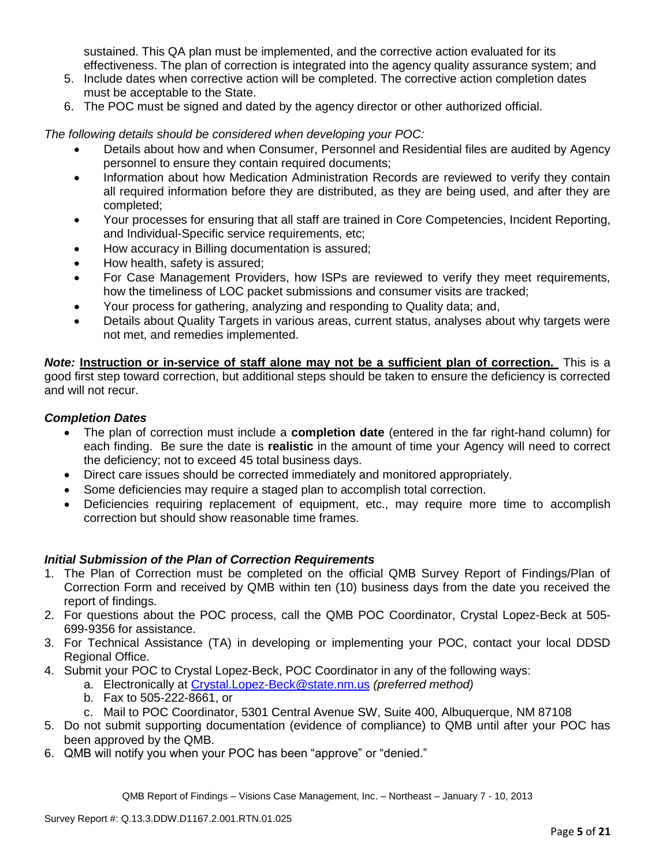sustained. This QA plan must be implemented, and the corrective action evaluated for its effectiveness. The plan of correction is integrated into the agency quality assurance system; and

- 5. Include dates when corrective action will be completed. The corrective action completion dates must be acceptable to the State.
- 6. The POC must be signed and dated by the agency director or other authorized official.

*The following details should be considered when developing your POC:*

- Details about how and when Consumer, Personnel and Residential files are audited by Agency personnel to ensure they contain required documents;
- Information about how Medication Administration Records are reviewed to verify they contain all required information before they are distributed, as they are being used, and after they are completed;
- Your processes for ensuring that all staff are trained in Core Competencies, Incident Reporting, and Individual-Specific service requirements, etc;
- How accuracy in Billing documentation is assured;
- How health, safety is assured;
- For Case Management Providers, how ISPs are reviewed to verify they meet requirements, how the timeliness of LOC packet submissions and consumer visits are tracked;
- Your process for gathering, analyzing and responding to Quality data; and,
- Details about Quality Targets in various areas, current status, analyses about why targets were not met, and remedies implemented.

*Note:* **Instruction or in-service of staff alone may not be a sufficient plan of correction.** This is a good first step toward correction, but additional steps should be taken to ensure the deficiency is corrected and will not recur.

### *Completion Dates*

- The plan of correction must include a **completion date** (entered in the far right-hand column) for each finding. Be sure the date is **realistic** in the amount of time your Agency will need to correct the deficiency; not to exceed 45 total business days.
- Direct care issues should be corrected immediately and monitored appropriately.
- Some deficiencies may require a staged plan to accomplish total correction.
- Deficiencies requiring replacement of equipment, etc., may require more time to accomplish correction but should show reasonable time frames.

# *Initial Submission of the Plan of Correction Requirements*

- 1. The Plan of Correction must be completed on the official QMB Survey Report of Findings/Plan of Correction Form and received by QMB within ten (10) business days from the date you received the report of findings.
- 2. For questions about the POC process, call the QMB POC Coordinator, Crystal Lopez-Beck at 505- 699-9356 for assistance.
- 3. For Technical Assistance (TA) in developing or implementing your POC, contact your local DDSD Regional Office.
- 4. Submit your POC to Crystal Lopez-Beck, POC Coordinator in any of the following ways:
	- a. Electronically at Crystal.Lopez-Beck@state.nm.us *(preferred method)*
	- b. Fax to 505-222-8661, or
	- c. Mail to POC Coordinator, 5301 Central Avenue SW, Suite 400, Albuquerque, NM 87108
- 5. Do not submit supporting documentation (evidence of compliance) to QMB until after your POC has been approved by the QMB.
- 6. QMB will notify you when your POC has been "approve" or "denied."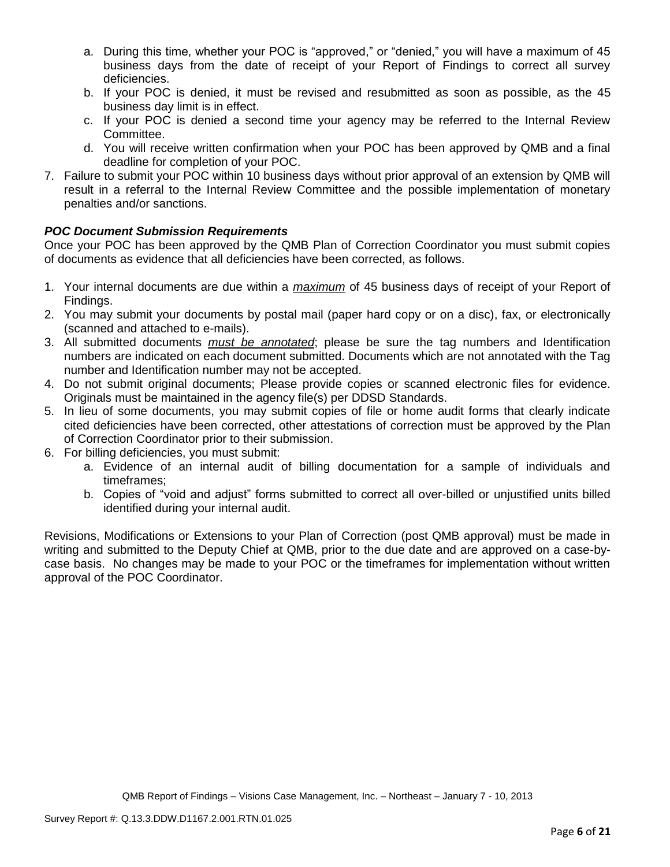- a. During this time, whether your POC is "approved," or "denied," you will have a maximum of 45 business days from the date of receipt of your Report of Findings to correct all survey deficiencies.
- b. If your POC is denied, it must be revised and resubmitted as soon as possible, as the 45 business day limit is in effect.
- c. If your POC is denied a second time your agency may be referred to the Internal Review Committee.
- d. You will receive written confirmation when your POC has been approved by QMB and a final deadline for completion of your POC.
- 7. Failure to submit your POC within 10 business days without prior approval of an extension by QMB will result in a referral to the Internal Review Committee and the possible implementation of monetary penalties and/or sanctions.

# *POC Document Submission Requirements*

Once your POC has been approved by the QMB Plan of Correction Coordinator you must submit copies of documents as evidence that all deficiencies have been corrected, as follows.

- 1. Your internal documents are due within a *maximum* of 45 business days of receipt of your Report of Findings.
- 2. You may submit your documents by postal mail (paper hard copy or on a disc), fax, or electronically (scanned and attached to e-mails).
- 3. All submitted documents *must be annotated*; please be sure the tag numbers and Identification numbers are indicated on each document submitted. Documents which are not annotated with the Tag number and Identification number may not be accepted.
- 4. Do not submit original documents; Please provide copies or scanned electronic files for evidence. Originals must be maintained in the agency file(s) per DDSD Standards.
- 5. In lieu of some documents, you may submit copies of file or home audit forms that clearly indicate cited deficiencies have been corrected, other attestations of correction must be approved by the Plan of Correction Coordinator prior to their submission.
- 6. For billing deficiencies, you must submit:
	- a. Evidence of an internal audit of billing documentation for a sample of individuals and timeframes;
	- b. Copies of "void and adjust" forms submitted to correct all over-billed or unjustified units billed identified during your internal audit.

Revisions, Modifications or Extensions to your Plan of Correction (post QMB approval) must be made in writing and submitted to the Deputy Chief at QMB, prior to the due date and are approved on a case-bycase basis. No changes may be made to your POC or the timeframes for implementation without written approval of the POC Coordinator.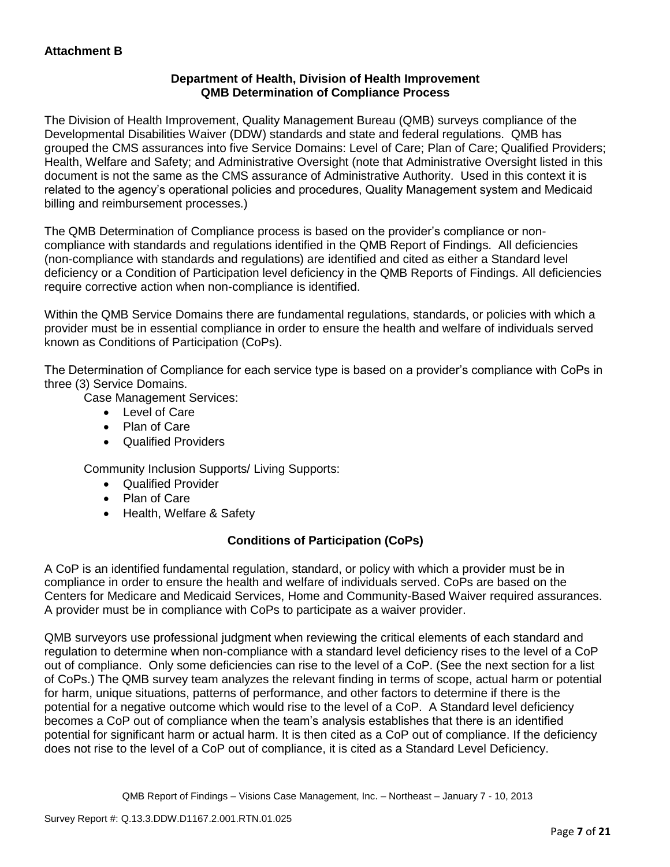# **Department of Health, Division of Health Improvement QMB Determination of Compliance Process**

The Division of Health Improvement, Quality Management Bureau (QMB) surveys compliance of the Developmental Disabilities Waiver (DDW) standards and state and federal regulations. QMB has grouped the CMS assurances into five Service Domains: Level of Care; Plan of Care; Qualified Providers; Health, Welfare and Safety; and Administrative Oversight (note that Administrative Oversight listed in this document is not the same as the CMS assurance of Administrative Authority. Used in this context it is related to the agency's operational policies and procedures, Quality Management system and Medicaid billing and reimbursement processes.)

The QMB Determination of Compliance process is based on the provider's compliance or noncompliance with standards and regulations identified in the QMB Report of Findings. All deficiencies (non-compliance with standards and regulations) are identified and cited as either a Standard level deficiency or a Condition of Participation level deficiency in the QMB Reports of Findings. All deficiencies require corrective action when non-compliance is identified.

Within the QMB Service Domains there are fundamental regulations, standards, or policies with which a provider must be in essential compliance in order to ensure the health and welfare of individuals served known as Conditions of Participation (CoPs).

The Determination of Compliance for each service type is based on a provider's compliance with CoPs in three (3) Service Domains.

Case Management Services:

- Level of Care
- Plan of Care
- Qualified Providers

Community Inclusion Supports/ Living Supports:

- Qualified Provider
- Plan of Care
- Health, Welfare & Safety

# **Conditions of Participation (CoPs)**

A CoP is an identified fundamental regulation, standard, or policy with which a provider must be in compliance in order to ensure the health and welfare of individuals served. CoPs are based on the Centers for Medicare and Medicaid Services, Home and Community-Based Waiver required assurances. A provider must be in compliance with CoPs to participate as a waiver provider.

QMB surveyors use professional judgment when reviewing the critical elements of each standard and regulation to determine when non-compliance with a standard level deficiency rises to the level of a CoP out of compliance. Only some deficiencies can rise to the level of a CoP. (See the next section for a list of CoPs.) The QMB survey team analyzes the relevant finding in terms of scope, actual harm or potential for harm, unique situations, patterns of performance, and other factors to determine if there is the potential for a negative outcome which would rise to the level of a CoP. A Standard level deficiency becomes a CoP out of compliance when the team's analysis establishes that there is an identified potential for significant harm or actual harm. It is then cited as a CoP out of compliance. If the deficiency does not rise to the level of a CoP out of compliance, it is cited as a Standard Level Deficiency.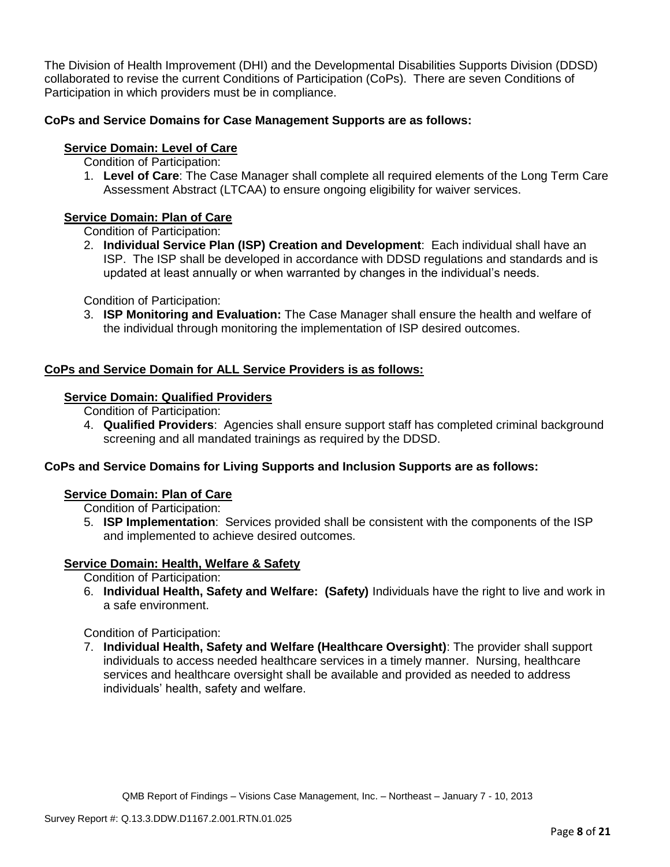The Division of Health Improvement (DHI) and the Developmental Disabilities Supports Division (DDSD) collaborated to revise the current Conditions of Participation (CoPs). There are seven Conditions of Participation in which providers must be in compliance.

# **CoPs and Service Domains for Case Management Supports are as follows:**

# **Service Domain: Level of Care**

- Condition of Participation:
- 1. **Level of Care**: The Case Manager shall complete all required elements of the Long Term Care Assessment Abstract (LTCAA) to ensure ongoing eligibility for waiver services.

# **Service Domain: Plan of Care**

Condition of Participation:

2. **Individual Service Plan (ISP) Creation and Development**: Each individual shall have an ISP. The ISP shall be developed in accordance with DDSD regulations and standards and is updated at least annually or when warranted by changes in the individual's needs.

Condition of Participation:

3. **ISP Monitoring and Evaluation:** The Case Manager shall ensure the health and welfare of the individual through monitoring the implementation of ISP desired outcomes.

# **CoPs and Service Domain for ALL Service Providers is as follows:**

# **Service Domain: Qualified Providers**

- Condition of Participation:
- 4. **Qualified Providers**: Agencies shall ensure support staff has completed criminal background screening and all mandated trainings as required by the DDSD.

# **CoPs and Service Domains for Living Supports and Inclusion Supports are as follows:**

#### **Service Domain: Plan of Care**

Condition of Participation:

5. **ISP Implementation**: Services provided shall be consistent with the components of the ISP and implemented to achieve desired outcomes.

# **Service Domain: Health, Welfare & Safety**

Condition of Participation:

6. **Individual Health, Safety and Welfare: (Safety)** Individuals have the right to live and work in a safe environment.

Condition of Participation:

7. **Individual Health, Safety and Welfare (Healthcare Oversight)**: The provider shall support individuals to access needed healthcare services in a timely manner. Nursing, healthcare services and healthcare oversight shall be available and provided as needed to address individuals' health, safety and welfare.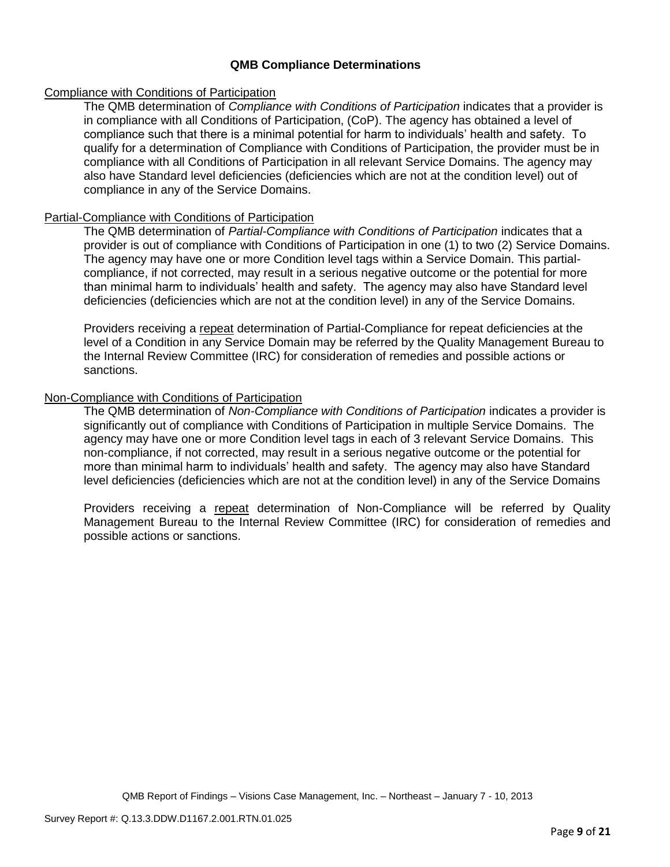### **QMB Compliance Determinations**

### Compliance with Conditions of Participation

The QMB determination of *Compliance with Conditions of Participation* indicates that a provider is in compliance with all Conditions of Participation, (CoP). The agency has obtained a level of compliance such that there is a minimal potential for harm to individuals' health and safety. To qualify for a determination of Compliance with Conditions of Participation, the provider must be in compliance with all Conditions of Participation in all relevant Service Domains. The agency may also have Standard level deficiencies (deficiencies which are not at the condition level) out of compliance in any of the Service Domains.

#### Partial-Compliance with Conditions of Participation

The QMB determination of *Partial-Compliance with Conditions of Participation* indicates that a provider is out of compliance with Conditions of Participation in one (1) to two (2) Service Domains. The agency may have one or more Condition level tags within a Service Domain. This partialcompliance, if not corrected, may result in a serious negative outcome or the potential for more than minimal harm to individuals' health and safety. The agency may also have Standard level deficiencies (deficiencies which are not at the condition level) in any of the Service Domains.

Providers receiving a repeat determination of Partial-Compliance for repeat deficiencies at the level of a Condition in any Service Domain may be referred by the Quality Management Bureau to the Internal Review Committee (IRC) for consideration of remedies and possible actions or sanctions.

### Non-Compliance with Conditions of Participation

The QMB determination of *Non-Compliance with Conditions of Participation* indicates a provider is significantly out of compliance with Conditions of Participation in multiple Service Domains. The agency may have one or more Condition level tags in each of 3 relevant Service Domains. This non-compliance, if not corrected, may result in a serious negative outcome or the potential for more than minimal harm to individuals' health and safety. The agency may also have Standard level deficiencies (deficiencies which are not at the condition level) in any of the Service Domains

Providers receiving a repeat determination of Non-Compliance will be referred by Quality Management Bureau to the Internal Review Committee (IRC) for consideration of remedies and possible actions or sanctions.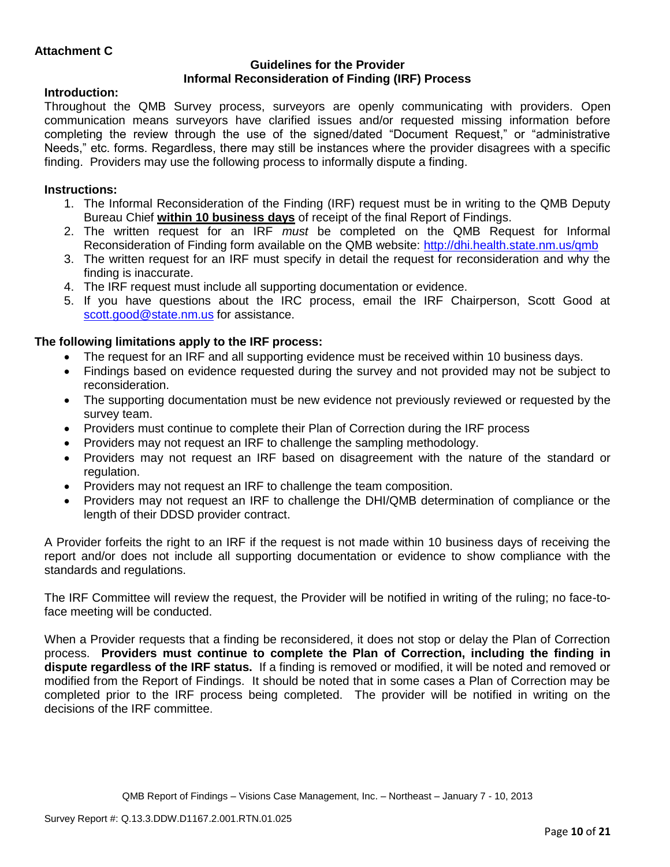### **Guidelines for the Provider Informal Reconsideration of Finding (IRF) Process**

# **Introduction:**

Throughout the QMB Survey process, surveyors are openly communicating with providers. Open communication means surveyors have clarified issues and/or requested missing information before completing the review through the use of the signed/dated "Document Request," or "administrative Needs," etc. forms. Regardless, there may still be instances where the provider disagrees with a specific finding. Providers may use the following process to informally dispute a finding.

# **Instructions:**

- 1. The Informal Reconsideration of the Finding (IRF) request must be in writing to the QMB Deputy Bureau Chief **within 10 business days** of receipt of the final Report of Findings.
- 2. The written request for an IRF *must* be completed on the QMB Request for Informal Reconsideration of Finding form available on the QMB website:<http://dhi.health.state.nm.us/qmb>
- 3. The written request for an IRF must specify in detail the request for reconsideration and why the finding is inaccurate.
- 4. The IRF request must include all supporting documentation or evidence.
- 5. If you have questions about the IRC process, email the IRF Chairperson, Scott Good at [scott.good@state.nm.us](mailto:scott.good@state.nm.us) for assistance.

# **The following limitations apply to the IRF process:**

- The request for an IRF and all supporting evidence must be received within 10 business days.
- Findings based on evidence requested during the survey and not provided may not be subject to reconsideration.
- The supporting documentation must be new evidence not previously reviewed or requested by the survey team.
- Providers must continue to complete their Plan of Correction during the IRF process
- Providers may not request an IRF to challenge the sampling methodology.
- Providers may not request an IRF based on disagreement with the nature of the standard or regulation.
- Providers may not request an IRF to challenge the team composition.
- Providers may not request an IRF to challenge the DHI/QMB determination of compliance or the length of their DDSD provider contract.

A Provider forfeits the right to an IRF if the request is not made within 10 business days of receiving the report and/or does not include all supporting documentation or evidence to show compliance with the standards and regulations.

The IRF Committee will review the request, the Provider will be notified in writing of the ruling; no face-toface meeting will be conducted.

When a Provider requests that a finding be reconsidered, it does not stop or delay the Plan of Correction process. **Providers must continue to complete the Plan of Correction, including the finding in dispute regardless of the IRF status.** If a finding is removed or modified, it will be noted and removed or modified from the Report of Findings. It should be noted that in some cases a Plan of Correction may be completed prior to the IRF process being completed. The provider will be notified in writing on the decisions of the IRF committee.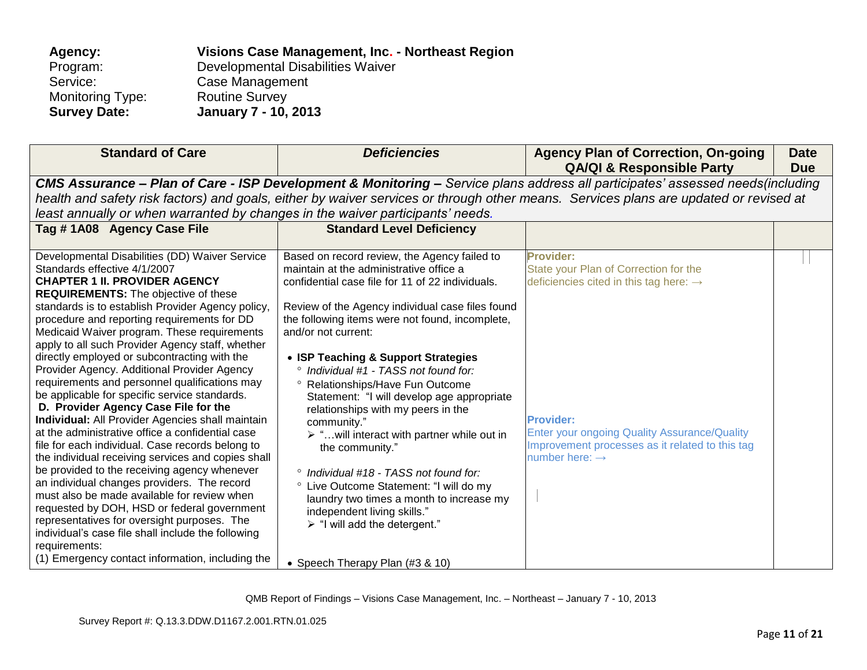| Visions Case Management, Inc. - Northeast Region |
|--------------------------------------------------|
| Developmental Disabilities Waiver                |
| Case Management                                  |
| <b>Routine Survey</b>                            |
| <b>January 7 - 10, 2013</b>                      |
|                                                  |

| <b>Standard of Care</b>                                                                                                                                                                                                                                                                                                                                                                                                                                                                                                                                                                                                                                                                                                                                                                                                                                                                                                                                                                                                                                                                                                                                           | <b>Deficiencies</b>                                                                                                                                                                                                                                                                                                                                                                                                                                                                                                                                                                                                                                                                                                                                                                             | <b>Agency Plan of Correction, On-going</b><br><b>QA/QI &amp; Responsible Party</b>                                                                                                                                                                                   | <b>Date</b><br><b>Due</b> |  |  |  |  |
|-------------------------------------------------------------------------------------------------------------------------------------------------------------------------------------------------------------------------------------------------------------------------------------------------------------------------------------------------------------------------------------------------------------------------------------------------------------------------------------------------------------------------------------------------------------------------------------------------------------------------------------------------------------------------------------------------------------------------------------------------------------------------------------------------------------------------------------------------------------------------------------------------------------------------------------------------------------------------------------------------------------------------------------------------------------------------------------------------------------------------------------------------------------------|-------------------------------------------------------------------------------------------------------------------------------------------------------------------------------------------------------------------------------------------------------------------------------------------------------------------------------------------------------------------------------------------------------------------------------------------------------------------------------------------------------------------------------------------------------------------------------------------------------------------------------------------------------------------------------------------------------------------------------------------------------------------------------------------------|----------------------------------------------------------------------------------------------------------------------------------------------------------------------------------------------------------------------------------------------------------------------|---------------------------|--|--|--|--|
|                                                                                                                                                                                                                                                                                                                                                                                                                                                                                                                                                                                                                                                                                                                                                                                                                                                                                                                                                                                                                                                                                                                                                                   | CMS Assurance - Plan of Care - ISP Development & Monitoring - Service plans address all participates' assessed needs(including                                                                                                                                                                                                                                                                                                                                                                                                                                                                                                                                                                                                                                                                  |                                                                                                                                                                                                                                                                      |                           |  |  |  |  |
|                                                                                                                                                                                                                                                                                                                                                                                                                                                                                                                                                                                                                                                                                                                                                                                                                                                                                                                                                                                                                                                                                                                                                                   |                                                                                                                                                                                                                                                                                                                                                                                                                                                                                                                                                                                                                                                                                                                                                                                                 | health and safety risk factors) and goals, either by waiver services or through other means. Services plans are updated or revised at                                                                                                                                |                           |  |  |  |  |
| least annually or when warranted by changes in the waiver participants' needs.                                                                                                                                                                                                                                                                                                                                                                                                                                                                                                                                                                                                                                                                                                                                                                                                                                                                                                                                                                                                                                                                                    |                                                                                                                                                                                                                                                                                                                                                                                                                                                                                                                                                                                                                                                                                                                                                                                                 |                                                                                                                                                                                                                                                                      |                           |  |  |  |  |
| Tag #1A08 Agency Case File                                                                                                                                                                                                                                                                                                                                                                                                                                                                                                                                                                                                                                                                                                                                                                                                                                                                                                                                                                                                                                                                                                                                        | <b>Standard Level Deficiency</b>                                                                                                                                                                                                                                                                                                                                                                                                                                                                                                                                                                                                                                                                                                                                                                |                                                                                                                                                                                                                                                                      |                           |  |  |  |  |
| Developmental Disabilities (DD) Waiver Service<br>Standards effective 4/1/2007<br><b>CHAPTER 1 II. PROVIDER AGENCY</b><br><b>REQUIREMENTS:</b> The objective of these<br>standards is to establish Provider Agency policy,<br>procedure and reporting requirements for DD<br>Medicaid Waiver program. These requirements<br>apply to all such Provider Agency staff, whether<br>directly employed or subcontracting with the<br>Provider Agency. Additional Provider Agency<br>requirements and personnel qualifications may<br>be applicable for specific service standards.<br>D. Provider Agency Case File for the<br><b>Individual:</b> All Provider Agencies shall maintain<br>at the administrative office a confidential case<br>file for each individual. Case records belong to<br>the individual receiving services and copies shall<br>be provided to the receiving agency whenever<br>an individual changes providers. The record<br>must also be made available for review when<br>requested by DOH, HSD or federal government<br>representatives for oversight purposes. The<br>individual's case file shall include the following<br>requirements: | Based on record review, the Agency failed to<br>maintain at the administrative office a<br>confidential case file for 11 of 22 individuals.<br>Review of the Agency individual case files found<br>the following items were not found, incomplete,<br>and/or not current:<br>• ISP Teaching & Support Strategies<br>Individual #1 - TASS not found for:<br>° Relationships/Have Fun Outcome<br>Statement: "I will develop age appropriate<br>relationships with my peers in the<br>community."<br>$\triangleright$ " will interact with partner while out in<br>the community."<br>° Individual #18 - TASS not found for:<br>° Live Outcome Statement: "I will do my<br>laundry two times a month to increase my<br>independent living skills."<br>$\triangleright$ "I will add the detergent." | <b>Provider:</b><br>State your Plan of Correction for the<br>deficiencies cited in this tag here: $\rightarrow$<br><b>Provider:</b><br>Enter your ongoing Quality Assurance/Quality<br>Improvement processes as it related to this tag<br>number here: $\rightarrow$ |                           |  |  |  |  |
| (1) Emergency contact information, including the                                                                                                                                                                                                                                                                                                                                                                                                                                                                                                                                                                                                                                                                                                                                                                                                                                                                                                                                                                                                                                                                                                                  | • Speech Therapy Plan (#3 & 10)                                                                                                                                                                                                                                                                                                                                                                                                                                                                                                                                                                                                                                                                                                                                                                 |                                                                                                                                                                                                                                                                      |                           |  |  |  |  |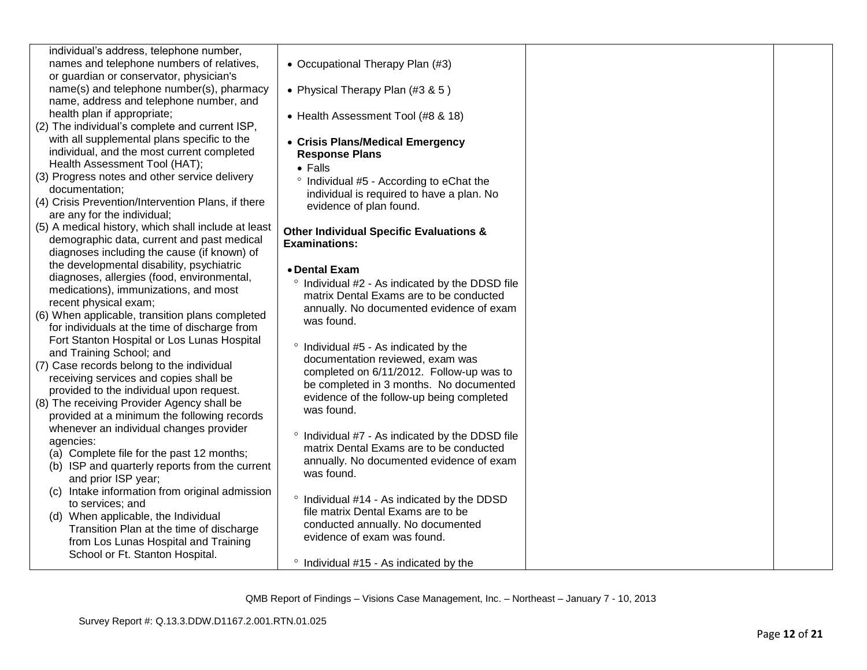| individual's address, telephone number,<br>names and telephone numbers of relatives,<br>or guardian or conservator, physician's                                            | • Occupational Therapy Plan (#3)                                                                                                                              |  |
|----------------------------------------------------------------------------------------------------------------------------------------------------------------------------|---------------------------------------------------------------------------------------------------------------------------------------------------------------|--|
| name(s) and telephone number(s), pharmacy<br>name, address and telephone number, and                                                                                       | • Physical Therapy Plan (#3 & 5)                                                                                                                              |  |
| health plan if appropriate;<br>(2) The individual's complete and current ISP,                                                                                              | • Health Assessment Tool (#8 & 18)                                                                                                                            |  |
| with all supplemental plans specific to the<br>individual, and the most current completed<br>Health Assessment Tool (HAT);                                                 | • Crisis Plans/Medical Emergency<br><b>Response Plans</b>                                                                                                     |  |
| (3) Progress notes and other service delivery<br>documentation;                                                                                                            | $\bullet$ Falls<br>° Individual #5 - According to eChat the                                                                                                   |  |
| (4) Crisis Prevention/Intervention Plans, if there<br>are any for the individual;                                                                                          | individual is required to have a plan. No<br>evidence of plan found.                                                                                          |  |
| (5) A medical history, which shall include at least<br>demographic data, current and past medical<br>diagnoses including the cause (if known) of                           | <b>Other Individual Specific Evaluations &amp;</b><br><b>Examinations:</b>                                                                                    |  |
| the developmental disability, psychiatric<br>diagnoses, allergies (food, environmental,<br>medications), immunizations, and most<br>recent physical exam;                  | • Dental Exam<br>Individual #2 - As indicated by the DDSD file<br>$\circ$<br>matrix Dental Exams are to be conducted                                          |  |
| (6) When applicable, transition plans completed<br>for individuals at the time of discharge from                                                                           | annually. No documented evidence of exam<br>was found.                                                                                                        |  |
| Fort Stanton Hospital or Los Lunas Hospital<br>and Training School; and                                                                                                    | Individual #5 - As indicated by the<br>$\circ$<br>documentation reviewed, exam was                                                                            |  |
| (7) Case records belong to the individual<br>receiving services and copies shall be<br>provided to the individual upon request.                                            | completed on 6/11/2012. Follow-up was to<br>be completed in 3 months. No documented                                                                           |  |
| (8) The receiving Provider Agency shall be<br>provided at a minimum the following records                                                                                  | evidence of the follow-up being completed<br>was found.                                                                                                       |  |
| whenever an individual changes provider<br>agencies:<br>(a) Complete file for the past 12 months;<br>(b) ISP and quarterly reports from the current<br>and prior ISP year; | Individual #7 - As indicated by the DDSD file<br>$\circ$<br>matrix Dental Exams are to be conducted<br>annually. No documented evidence of exam<br>was found. |  |
| (c) Intake information from original admission<br>to services; and                                                                                                         | ° Individual #14 - As indicated by the DDSD<br>file matrix Dental Exams are to be                                                                             |  |
| (d) When applicable, the Individual<br>Transition Plan at the time of discharge<br>from Los Lunas Hospital and Training                                                    | conducted annually. No documented<br>evidence of exam was found.                                                                                              |  |
| School or Ft. Stanton Hospital.                                                                                                                                            | • Individual #15 - As indicated by the                                                                                                                        |  |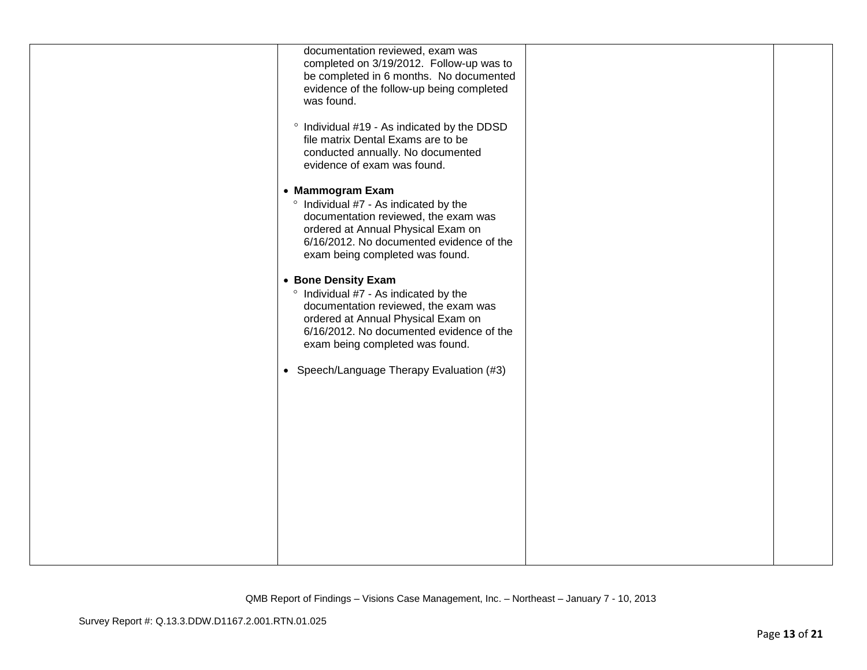| documentation reviewed, exam was<br>completed on 3/19/2012. Follow-up was to<br>be completed in 6 months. No documented<br>evidence of the follow-up being completed<br>was found.<br>° Individual #19 - As indicated by the DDSD<br>file matrix Dental Exams are to be<br>conducted annually. No documented                                                                                                                                                                                                                    |  |
|---------------------------------------------------------------------------------------------------------------------------------------------------------------------------------------------------------------------------------------------------------------------------------------------------------------------------------------------------------------------------------------------------------------------------------------------------------------------------------------------------------------------------------|--|
| evidence of exam was found.<br>• Mammogram Exam<br>° Individual #7 - As indicated by the<br>documentation reviewed, the exam was<br>ordered at Annual Physical Exam on<br>6/16/2012. No documented evidence of the<br>exam being completed was found.<br>• Bone Density Exam<br>° Individual #7 - As indicated by the<br>documentation reviewed, the exam was<br>ordered at Annual Physical Exam on<br>6/16/2012. No documented evidence of the<br>exam being completed was found.<br>• Speech/Language Therapy Evaluation (#3) |  |
|                                                                                                                                                                                                                                                                                                                                                                                                                                                                                                                                 |  |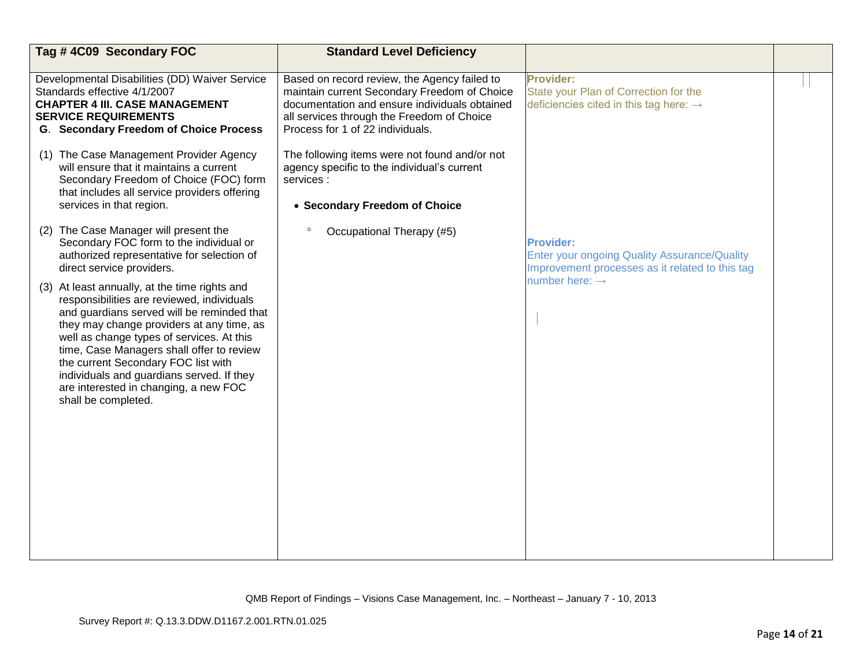| Tag #4C09 Secondary FOC                                                                                                                                                                                                                                                                                                                                                                                                                 | <b>Standard Level Deficiency</b>                                                                                                                                                                                                |                                                                                                                            |  |
|-----------------------------------------------------------------------------------------------------------------------------------------------------------------------------------------------------------------------------------------------------------------------------------------------------------------------------------------------------------------------------------------------------------------------------------------|---------------------------------------------------------------------------------------------------------------------------------------------------------------------------------------------------------------------------------|----------------------------------------------------------------------------------------------------------------------------|--|
| Developmental Disabilities (DD) Waiver Service<br>Standards effective 4/1/2007<br><b>CHAPTER 4 III. CASE MANAGEMENT</b><br><b>SERVICE REQUIREMENTS</b><br><b>G. Secondary Freedom of Choice Process</b>                                                                                                                                                                                                                                 | Based on record review, the Agency failed to<br>maintain current Secondary Freedom of Choice<br>documentation and ensure individuals obtained<br>all services through the Freedom of Choice<br>Process for 1 of 22 individuals. | <b>Provider:</b><br>State your Plan of Correction for the<br>deficiencies cited in this tag here: $\rightarrow$            |  |
| (1) The Case Management Provider Agency<br>will ensure that it maintains a current<br>Secondary Freedom of Choice (FOC) form<br>that includes all service providers offering<br>services in that region.                                                                                                                                                                                                                                | The following items were not found and/or not<br>agency specific to the individual's current<br>services :<br>• Secondary Freedom of Choice                                                                                     |                                                                                                                            |  |
| (2) The Case Manager will present the<br>Secondary FOC form to the individual or<br>authorized representative for selection of<br>direct service providers.                                                                                                                                                                                                                                                                             | $\circ$<br>Occupational Therapy (#5)                                                                                                                                                                                            | <b>Provider:</b><br><b>Enter your ongoing Quality Assurance/Quality</b><br>Improvement processes as it related to this tag |  |
| At least annually, at the time rights and<br>(3)<br>responsibilities are reviewed, individuals<br>and guardians served will be reminded that<br>they may change providers at any time, as<br>well as change types of services. At this<br>time, Case Managers shall offer to review<br>the current Secondary FOC list with<br>individuals and guardians served. If they<br>are interested in changing, a new FOC<br>shall be completed. |                                                                                                                                                                                                                                 | number here: $\rightarrow$                                                                                                 |  |
|                                                                                                                                                                                                                                                                                                                                                                                                                                         |                                                                                                                                                                                                                                 |                                                                                                                            |  |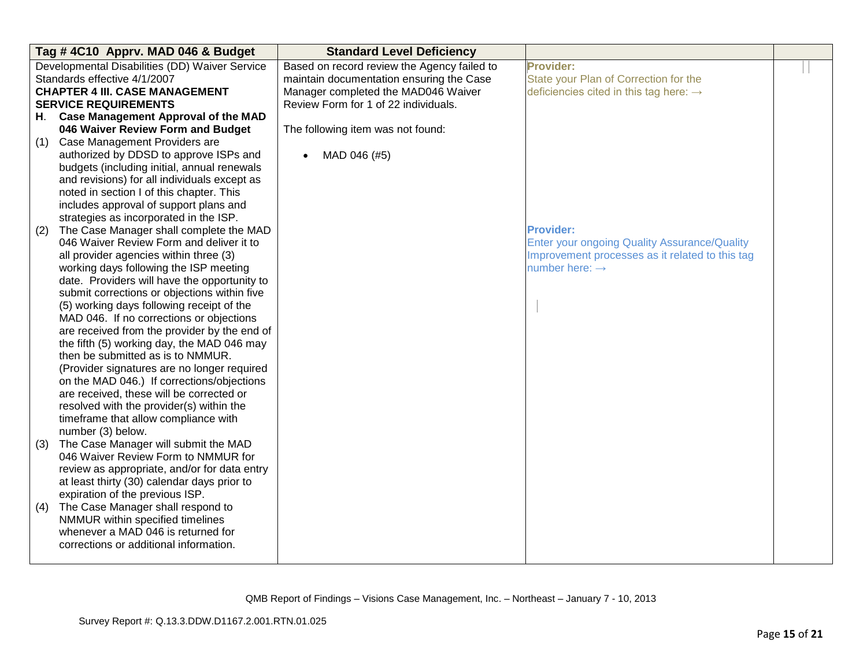|     | Tag #4C10 Apprv. MAD 046 & Budget                         | <b>Standard Level Deficiency</b>            |                                                    |  |
|-----|-----------------------------------------------------------|---------------------------------------------|----------------------------------------------------|--|
|     | Developmental Disabilities (DD) Waiver Service            | Based on record review the Agency failed to | <b>Provider:</b>                                   |  |
|     | Standards effective 4/1/2007                              | maintain documentation ensuring the Case    | State your Plan of Correction for the              |  |
|     | <b>CHAPTER 4 III. CASE MANAGEMENT</b>                     | Manager completed the MAD046 Waiver         | deficiencies cited in this tag here: $\rightarrow$ |  |
|     | <b>SERVICE REQUIREMENTS</b>                               | Review Form for 1 of 22 individuals.        |                                                    |  |
| H.  | <b>Case Management Approval of the MAD</b>                |                                             |                                                    |  |
|     | 046 Waiver Review Form and Budget                         | The following item was not found:           |                                                    |  |
| (1) | Case Management Providers are                             |                                             |                                                    |  |
|     | authorized by DDSD to approve ISPs and                    | MAD 046 (#5)                                |                                                    |  |
|     | budgets (including initial, annual renewals               |                                             |                                                    |  |
|     | and revisions) for all individuals except as              |                                             |                                                    |  |
|     | noted in section I of this chapter. This                  |                                             |                                                    |  |
|     | includes approval of support plans and                    |                                             |                                                    |  |
|     | strategies as incorporated in the ISP.                    |                                             |                                                    |  |
| (2) | The Case Manager shall complete the MAD                   |                                             | <b>Provider:</b>                                   |  |
|     | 046 Waiver Review Form and deliver it to                  |                                             | Enter your ongoing Quality Assurance/Quality       |  |
|     | all provider agencies within three (3)                    |                                             | Improvement processes as it related to this tag    |  |
|     | working days following the ISP meeting                    |                                             | number here: $\rightarrow$                         |  |
|     | date. Providers will have the opportunity to              |                                             |                                                    |  |
|     | submit corrections or objections within five              |                                             |                                                    |  |
|     | (5) working days following receipt of the                 |                                             |                                                    |  |
|     | MAD 046. If no corrections or objections                  |                                             |                                                    |  |
|     | are received from the provider by the end of              |                                             |                                                    |  |
|     | the fifth (5) working day, the MAD 046 may                |                                             |                                                    |  |
|     | then be submitted as is to NMMUR.                         |                                             |                                                    |  |
|     | (Provider signatures are no longer required               |                                             |                                                    |  |
|     | on the MAD 046.) If corrections/objections                |                                             |                                                    |  |
|     | are received, these will be corrected or                  |                                             |                                                    |  |
|     | resolved with the provider(s) within the                  |                                             |                                                    |  |
|     | timeframe that allow compliance with<br>number (3) below. |                                             |                                                    |  |
| (3) | The Case Manager will submit the MAD                      |                                             |                                                    |  |
|     | 046 Waiver Review Form to NMMUR for                       |                                             |                                                    |  |
|     | review as appropriate, and/or for data entry              |                                             |                                                    |  |
|     | at least thirty (30) calendar days prior to               |                                             |                                                    |  |
|     | expiration of the previous ISP.                           |                                             |                                                    |  |
| (4) | The Case Manager shall respond to                         |                                             |                                                    |  |
|     | NMMUR within specified timelines                          |                                             |                                                    |  |
|     | whenever a MAD 046 is returned for                        |                                             |                                                    |  |
|     | corrections or additional information.                    |                                             |                                                    |  |
|     |                                                           |                                             |                                                    |  |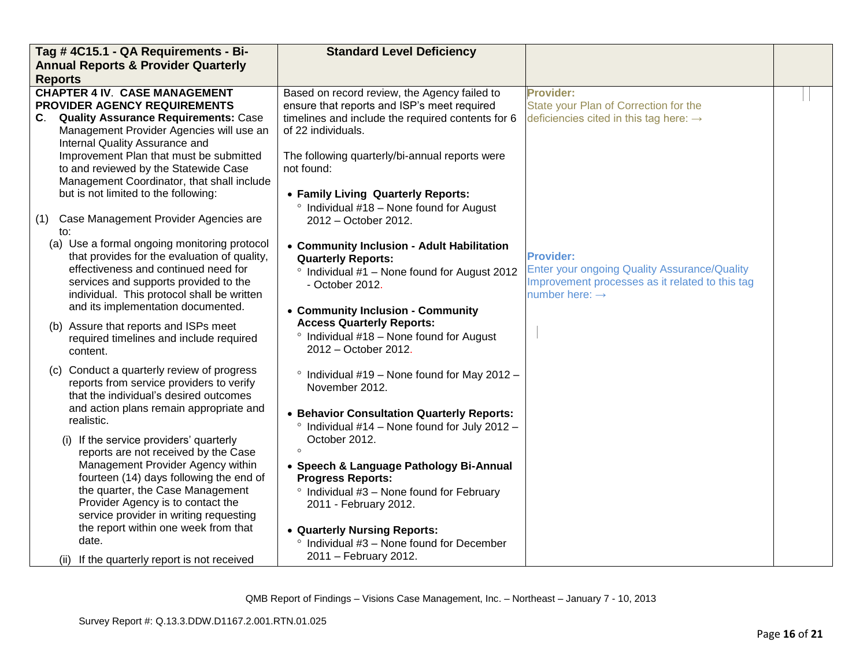| Tag #4C15.1 - QA Requirements - Bi-                                                                                                                                                                                                                                                                                                                                                 | <b>Standard Level Deficiency</b>                                                                                                                                                                                                                                                     |                                                                                                                                                          |  |
|-------------------------------------------------------------------------------------------------------------------------------------------------------------------------------------------------------------------------------------------------------------------------------------------------------------------------------------------------------------------------------------|--------------------------------------------------------------------------------------------------------------------------------------------------------------------------------------------------------------------------------------------------------------------------------------|----------------------------------------------------------------------------------------------------------------------------------------------------------|--|
| <b>Annual Reports &amp; Provider Quarterly</b>                                                                                                                                                                                                                                                                                                                                      |                                                                                                                                                                                                                                                                                      |                                                                                                                                                          |  |
| <b>Reports</b>                                                                                                                                                                                                                                                                                                                                                                      |                                                                                                                                                                                                                                                                                      |                                                                                                                                                          |  |
| <b>CHAPTER 4 IV. CASE MANAGEMENT</b><br>PROVIDER AGENCY REQUIREMENTS<br><b>Quality Assurance Requirements: Case</b><br>C.<br>Management Provider Agencies will use an<br>Internal Quality Assurance and<br>Improvement Plan that must be submitted<br>to and reviewed by the Statewide Case                                                                                         | Based on record review, the Agency failed to<br>ensure that reports and ISP's meet required<br>timelines and include the required contents for 6<br>of 22 individuals.<br>The following quarterly/bi-annual reports were<br>not found:                                               | <b>Provider:</b><br>State your Plan of Correction for the<br>deficiencies cited in this tag here: $\rightarrow$                                          |  |
| Management Coordinator, that shall include<br>but is not limited to the following:<br>Case Management Provider Agencies are<br>(1)<br>to:                                                                                                                                                                                                                                           | • Family Living Quarterly Reports:<br>$\degree$ Individual #18 – None found for August<br>2012 - October 2012.                                                                                                                                                                       |                                                                                                                                                          |  |
| (a) Use a formal ongoing monitoring protocol<br>that provides for the evaluation of quality,<br>effectiveness and continued need for<br>services and supports provided to the<br>individual. This protocol shall be written<br>and its implementation documented.                                                                                                                   | • Community Inclusion - Adult Habilitation<br><b>Quarterly Reports:</b><br><sup>o</sup> Individual #1 - None found for August 2012<br>- October 2012.<br>• Community Inclusion - Community                                                                                           | <b>Provider:</b><br><b>Enter your ongoing Quality Assurance/Quality</b><br>Improvement processes as it related to this tag<br>number here: $\rightarrow$ |  |
| (b) Assure that reports and ISPs meet<br>required timelines and include required<br>content.                                                                                                                                                                                                                                                                                        | <b>Access Quarterly Reports:</b><br>$\degree$ Individual #18 - None found for August<br>2012 - October 2012.                                                                                                                                                                         |                                                                                                                                                          |  |
| (c) Conduct a quarterly review of progress<br>reports from service providers to verify<br>that the individual's desired outcomes<br>and action plans remain appropriate and<br>realistic.                                                                                                                                                                                           | $\degree$ Individual #19 – None found for May 2012 –<br>November 2012.<br>• Behavior Consultation Quarterly Reports:<br>$\degree$ Individual #14 - None found for July 2012 -                                                                                                        |                                                                                                                                                          |  |
| (i) If the service providers' quarterly<br>reports are not received by the Case<br>Management Provider Agency within<br>fourteen (14) days following the end of<br>the quarter, the Case Management<br>Provider Agency is to contact the<br>service provider in writing requesting<br>the report within one week from that<br>date.<br>(ii) If the quarterly report is not received | October 2012.<br>$\Omega$<br>• Speech & Language Pathology Bi-Annual<br><b>Progress Reports:</b><br>$\degree$ Individual #3 - None found for February<br>2011 - February 2012.<br>• Quarterly Nursing Reports:<br>° Individual #3 - None found for December<br>2011 - February 2012. |                                                                                                                                                          |  |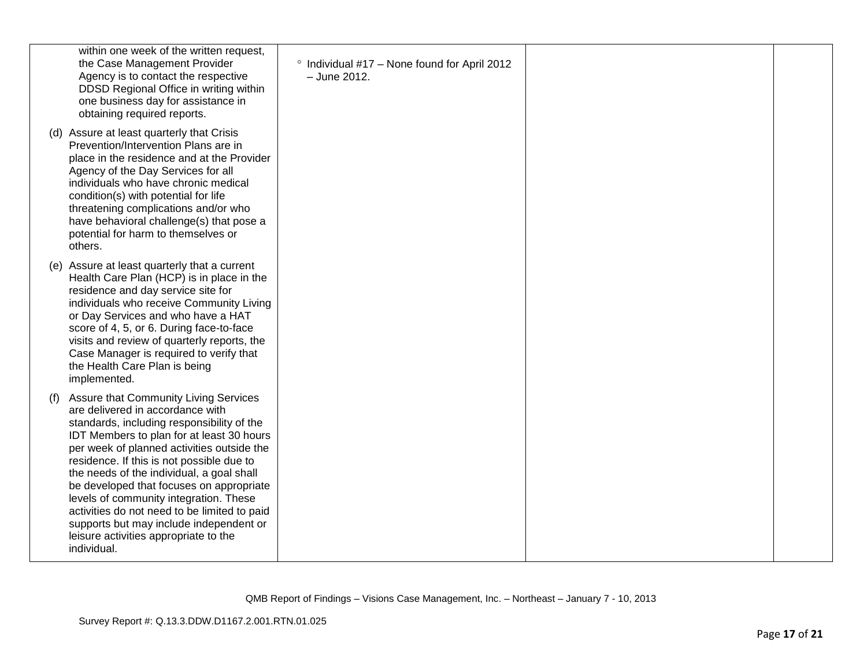| within one week of the written request,<br>the Case Management Provider<br>Agency is to contact the respective<br>DDSD Regional Office in writing within<br>one business day for assistance in<br>obtaining required reports.                                                                                                                                                                                                                                                                                                                                | <sup>o</sup> Individual #17 - None found for April 2012<br>- June 2012. |  |
|--------------------------------------------------------------------------------------------------------------------------------------------------------------------------------------------------------------------------------------------------------------------------------------------------------------------------------------------------------------------------------------------------------------------------------------------------------------------------------------------------------------------------------------------------------------|-------------------------------------------------------------------------|--|
| (d) Assure at least quarterly that Crisis<br>Prevention/Intervention Plans are in<br>place in the residence and at the Provider<br>Agency of the Day Services for all<br>individuals who have chronic medical<br>condition(s) with potential for life<br>threatening complications and/or who<br>have behavioral challenge(s) that pose a<br>potential for harm to themselves or<br>others.                                                                                                                                                                  |                                                                         |  |
| (e) Assure at least quarterly that a current<br>Health Care Plan (HCP) is in place in the<br>residence and day service site for<br>individuals who receive Community Living<br>or Day Services and who have a HAT<br>score of 4, 5, or 6. During face-to-face<br>visits and review of quarterly reports, the<br>Case Manager is required to verify that<br>the Health Care Plan is being<br>implemented.                                                                                                                                                     |                                                                         |  |
| Assure that Community Living Services<br>(1)<br>are delivered in accordance with<br>standards, including responsibility of the<br>IDT Members to plan for at least 30 hours<br>per week of planned activities outside the<br>residence. If this is not possible due to<br>the needs of the individual, a goal shall<br>be developed that focuses on appropriate<br>levels of community integration. These<br>activities do not need to be limited to paid<br>supports but may include independent or<br>leisure activities appropriate to the<br>individual. |                                                                         |  |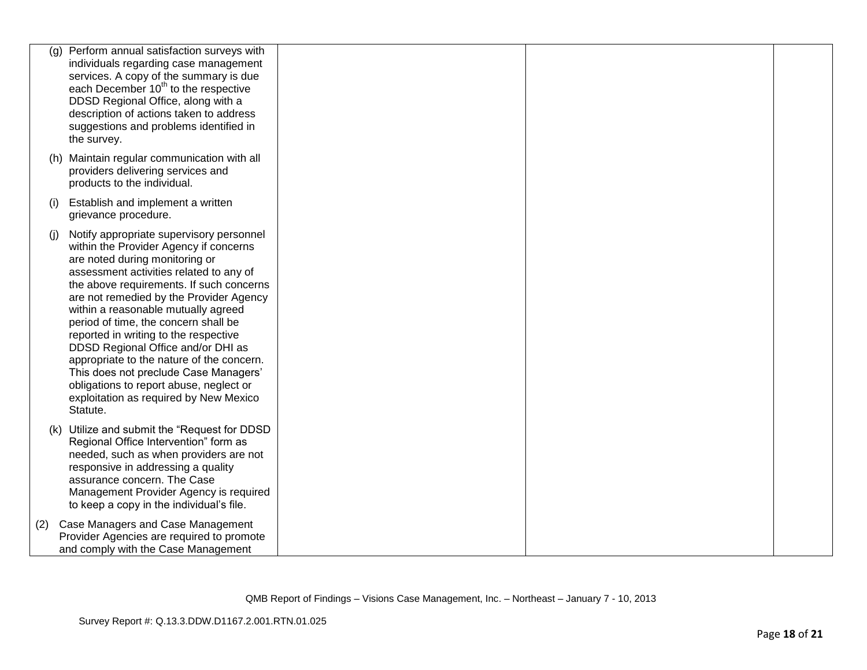| (g) | Perform annual satisfaction surveys with<br>individuals regarding case management<br>services. A copy of the summary is due<br>each December 10 <sup>th</sup> to the respective<br>DDSD Regional Office, along with a<br>description of actions taken to address<br>suggestions and problems identified in<br>the survey.                                                                                                                                                                                                                                                                                   |  |  |
|-----|-------------------------------------------------------------------------------------------------------------------------------------------------------------------------------------------------------------------------------------------------------------------------------------------------------------------------------------------------------------------------------------------------------------------------------------------------------------------------------------------------------------------------------------------------------------------------------------------------------------|--|--|
|     | (h) Maintain regular communication with all<br>providers delivering services and<br>products to the individual.                                                                                                                                                                                                                                                                                                                                                                                                                                                                                             |  |  |
| (i) | Establish and implement a written<br>grievance procedure.                                                                                                                                                                                                                                                                                                                                                                                                                                                                                                                                                   |  |  |
| (i) | Notify appropriate supervisory personnel<br>within the Provider Agency if concerns<br>are noted during monitoring or<br>assessment activities related to any of<br>the above requirements. If such concerns<br>are not remedied by the Provider Agency<br>within a reasonable mutually agreed<br>period of time, the concern shall be<br>reported in writing to the respective<br>DDSD Regional Office and/or DHI as<br>appropriate to the nature of the concern.<br>This does not preclude Case Managers'<br>obligations to report abuse, neglect or<br>exploitation as required by New Mexico<br>Statute. |  |  |
|     | (k) Utilize and submit the "Request for DDSD<br>Regional Office Intervention" form as<br>needed, such as when providers are not<br>responsive in addressing a quality<br>assurance concern. The Case<br>Management Provider Agency is required<br>to keep a copy in the individual's file.                                                                                                                                                                                                                                                                                                                  |  |  |
| (2) | Case Managers and Case Management<br>Provider Agencies are required to promote<br>and comply with the Case Management                                                                                                                                                                                                                                                                                                                                                                                                                                                                                       |  |  |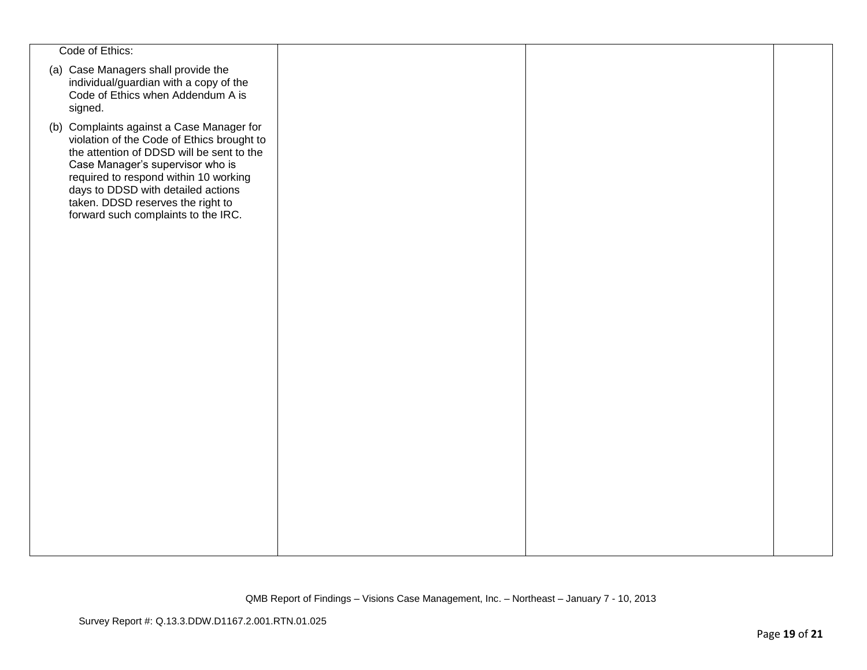| Code of Ethics:                                                                                                                                                                                                                                                                                                                     |  |  |
|-------------------------------------------------------------------------------------------------------------------------------------------------------------------------------------------------------------------------------------------------------------------------------------------------------------------------------------|--|--|
| (a) Case Managers shall provide the<br>individual/guardian with a copy of the<br>Code of Ethics when Addendum A is<br>signed.                                                                                                                                                                                                       |  |  |
| (b) Complaints against a Case Manager for<br>violation of the Code of Ethics brought to<br>the attention of DDSD will be sent to the<br>Case Manager's supervisor who is<br>required to respond within 10 working<br>days to DDSD with detailed actions<br>taken. DDSD reserves the right to<br>forward such complaints to the IRC. |  |  |
|                                                                                                                                                                                                                                                                                                                                     |  |  |
|                                                                                                                                                                                                                                                                                                                                     |  |  |
|                                                                                                                                                                                                                                                                                                                                     |  |  |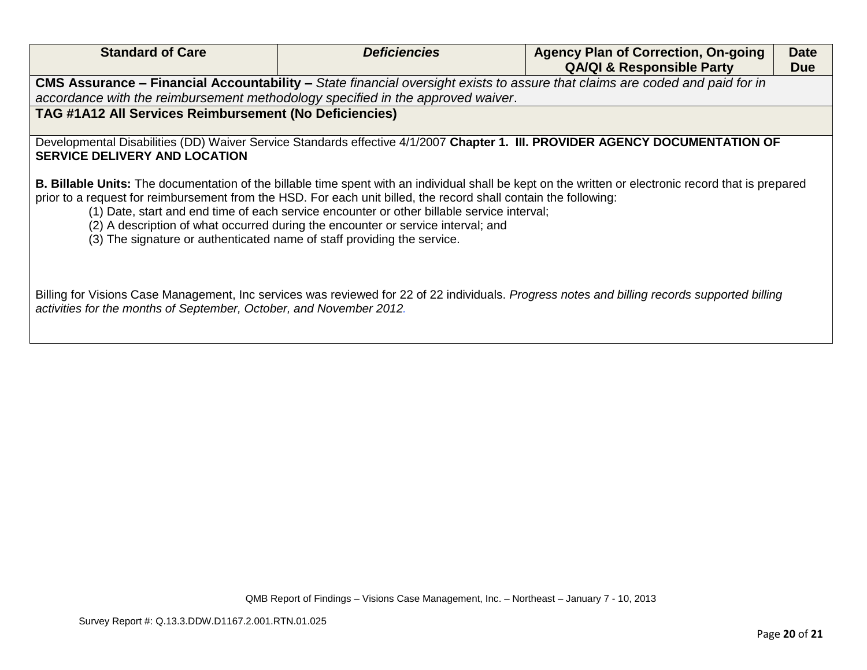| <b>Standard of Care</b>                                                                                                                                                                                                                                                                                                                                                                                                                                                                                                                       | <b>Deficiencies</b> | <b>Agency Plan of Correction, On-going</b><br><b>QA/QI &amp; Responsible Party</b>                                                            | <b>Date</b><br><b>Due</b> |  |
|-----------------------------------------------------------------------------------------------------------------------------------------------------------------------------------------------------------------------------------------------------------------------------------------------------------------------------------------------------------------------------------------------------------------------------------------------------------------------------------------------------------------------------------------------|---------------------|-----------------------------------------------------------------------------------------------------------------------------------------------|---------------------------|--|
| CMS Assurance – Financial Accountability – State financial oversight exists to assure that claims are coded and paid for in                                                                                                                                                                                                                                                                                                                                                                                                                   |                     |                                                                                                                                               |                           |  |
| accordance with the reimbursement methodology specified in the approved waiver.                                                                                                                                                                                                                                                                                                                                                                                                                                                               |                     |                                                                                                                                               |                           |  |
| TAG #1A12 All Services Reimbursement (No Deficiencies)                                                                                                                                                                                                                                                                                                                                                                                                                                                                                        |                     |                                                                                                                                               |                           |  |
| Developmental Disabilities (DD) Waiver Service Standards effective 4/1/2007 Chapter 1. III. PROVIDER AGENCY DOCUMENTATION OF<br><b>SERVICE DELIVERY AND LOCATION</b>                                                                                                                                                                                                                                                                                                                                                                          |                     |                                                                                                                                               |                           |  |
| <b>B. Billable Units:</b> The documentation of the billable time spent with an individual shall be kept on the written or electronic record that is prepared<br>prior to a request for reimbursement from the HSD. For each unit billed, the record shall contain the following:<br>(1) Date, start and end time of each service encounter or other billable service interval;<br>(2) A description of what occurred during the encounter or service interval; and<br>(3) The signature or authenticated name of staff providing the service. |                     |                                                                                                                                               |                           |  |
| activities for the months of September, October, and November 2012.                                                                                                                                                                                                                                                                                                                                                                                                                                                                           |                     | Billing for Visions Case Management, Inc services was reviewed for 22 of 22 individuals. Progress notes and billing records supported billing |                           |  |